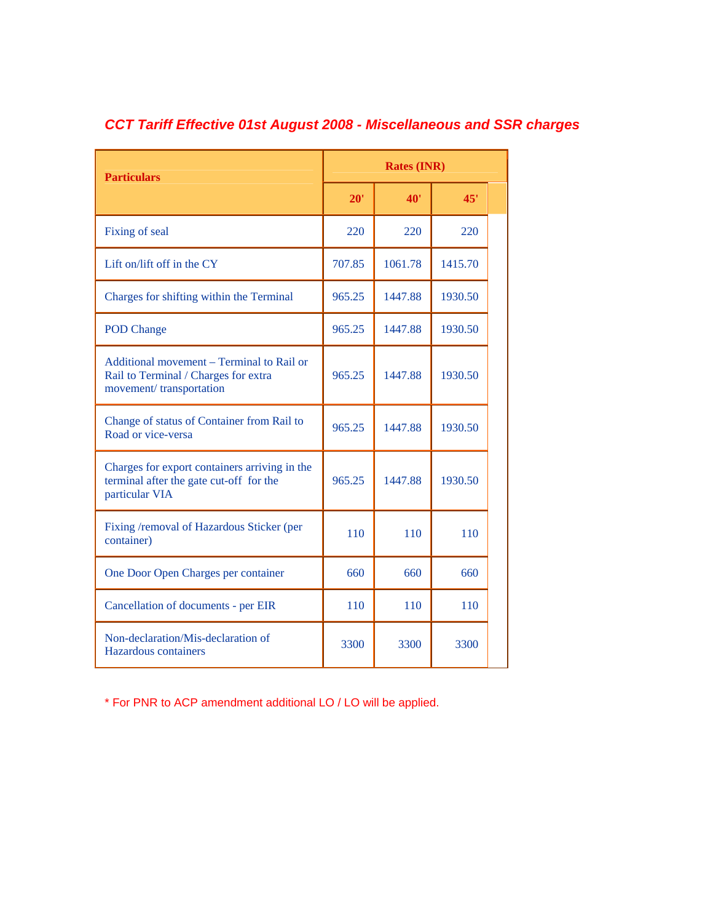| <b>Particulars</b>                                                                                           | <b>Rates (INR)</b> |         |         |  |
|--------------------------------------------------------------------------------------------------------------|--------------------|---------|---------|--|
|                                                                                                              | 20'                | 40'     | 45'     |  |
| Fixing of seal                                                                                               | 220                | 220     | 220     |  |
| Lift on/lift off in the CY                                                                                   | 707.85             | 1061.78 | 1415.70 |  |
| Charges for shifting within the Terminal                                                                     | 965.25             | 1447.88 | 1930.50 |  |
| <b>POD Change</b>                                                                                            | 965.25             | 1447.88 | 1930.50 |  |
| Additional movement – Terminal to Rail or<br>Rail to Terminal / Charges for extra<br>movement/transportation | 965.25             | 1447.88 | 1930.50 |  |
| Change of status of Container from Rail to<br>Road or vice-versa                                             | 965.25             | 1447.88 | 1930.50 |  |
| Charges for export containers arriving in the<br>terminal after the gate cut-off for the<br>particular VIA   | 965.25             | 1447.88 | 1930.50 |  |
| Fixing /removal of Hazardous Sticker (per<br>container)                                                      | 110                | 110     | 110     |  |
| One Door Open Charges per container                                                                          | 660                | 660     | 660     |  |
| Cancellation of documents - per EIR                                                                          | 110                | 110     | 110     |  |
| Non-declaration/Mis-declaration of<br>Hazardous containers                                                   | 3300               | 3300    | 3300    |  |

## *CCT Tariff Effective 01st August 2008 - Miscellaneous and SSR charges*

\* For PNR to ACP amendment additional LO / LO will be applied.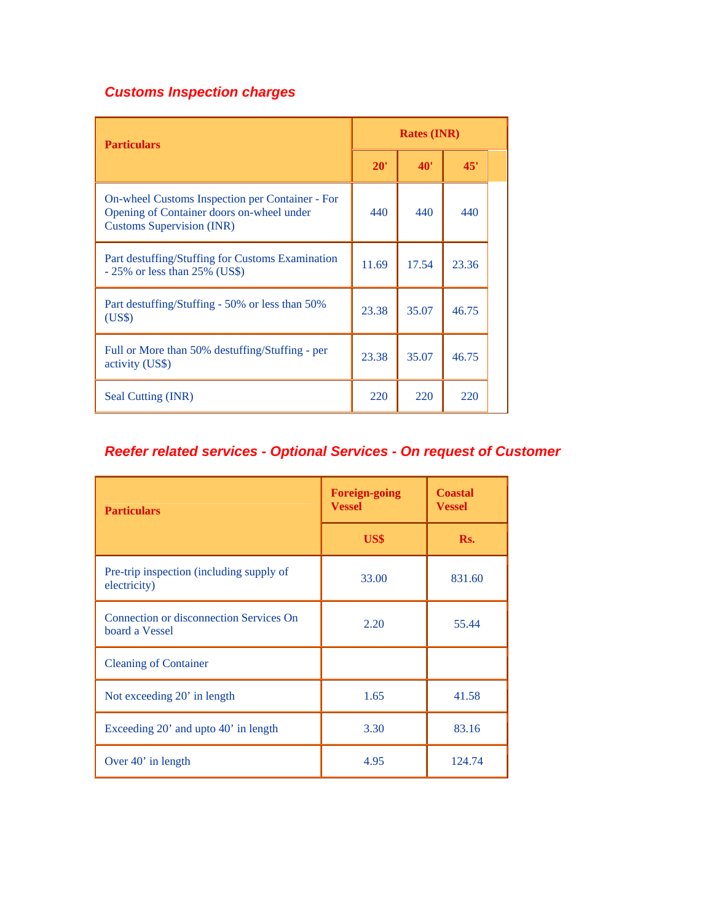## *Customs Inspection charges*

| <b>Particulars</b>                                                                                                                      |       | <b>Rates (INR)</b> |       |  |
|-----------------------------------------------------------------------------------------------------------------------------------------|-------|--------------------|-------|--|
|                                                                                                                                         |       | <b>40'</b>         | 45'   |  |
| <b>On-wheel Customs Inspection per Container - For</b><br>Opening of Container doors on-wheel under<br><b>Customs Supervision (INR)</b> | 440   | 440                | 440   |  |
| Part destuffing/Stuffing for Customs Examination<br>$-25\%$ or less than 25% (US\$)                                                     | 11.69 | 17.54              | 23.36 |  |
| Part destuffing/Stuffing - 50% or less than 50%<br>(US\$)                                                                               | 23.38 | 35.07              | 46.75 |  |
| Full or More than 50% destuffing/Stuffing - per<br>activity (US\$)                                                                      | 23.38 | 35.07              | 46.75 |  |
| Seal Cutting (INR)                                                                                                                      | 220   | 220                | 220   |  |

## *Reefer related services - Optional Services - On request of Customer*

| <b>Particulars</b>                                        | <b>Foreign-going</b><br><b>Vessel</b> | <b>Coastal</b><br><b>Vessel</b> |  |
|-----------------------------------------------------------|---------------------------------------|---------------------------------|--|
|                                                           | US\$                                  | Rs.                             |  |
| Pre-trip inspection (including supply of<br>electricity)  | 33.00                                 | 831.60                          |  |
| Connection or disconnection Services On<br>board a Vessel | 2.20                                  | 55.44                           |  |
| <b>Cleaning of Container</b>                              |                                       |                                 |  |
| Not exceeding 20' in length                               | 1.65                                  | 41.58                           |  |
| Exceeding 20' and upto 40' in length                      | 3.30                                  | 83.16                           |  |
| Over $40'$ in length                                      | 4.95                                  | 124.74                          |  |